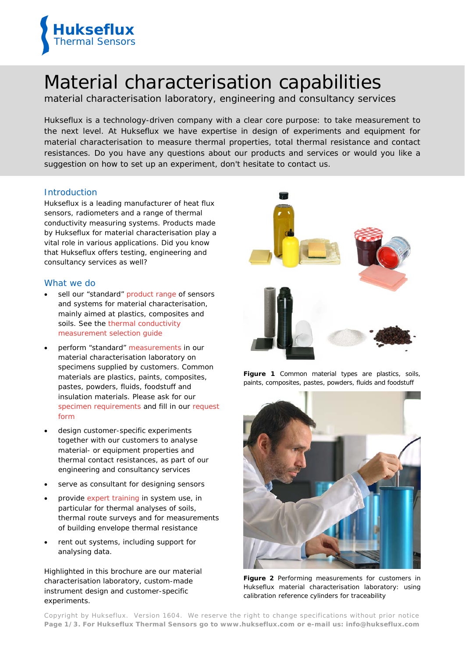

# Material characterisation capabilities

material characterisation laboratory, engineering and consultancy services

*Hukseflux is a technology-driven company with a clear core purpose: to take measurement to the next level. At Hukseflux we have expertise in design of experiments and equipment for material characterisation to measure thermal properties, total thermal resistance and contact resistances. Do you have any questions about our products and services or would you like a suggestion on how to set up an experiment, don't hesitate to contact us.*

# Introduction

Hukseflux is a leading manufacturer of heat flux sensors, radiometers and a range of thermal conductivity measuring systems. Products made by Hukseflux for material characterisation play a vital role in various applications. Did you know that Hukseflux offers testing, engineering and consultancy services as well?

# What we do

- sell our ["standard"](http://www.hukseflux.com/product_group/thermal-conductivity) [product range](http://www.hukseflux.com/product_group/thermal-conductivity) of sensors and systems for material characterisation, mainly aimed at plastics, composites and soils. See the [thermal conductivity](http://www.hukseflux.com/product_group/thermal-conductivity)  [measurement selection guide](http://www.hukseflux.com/product_group/thermal-conductivity)
- perform "standard" [measurements](http://www.hukseflux.com/service/thermal-conductivity-laboratory) in our material characterisation laboratory on specimens supplied by customers. Common materials are plastics, paints, composites, pastes, powders, fluids, foodstuff and insulation materials. Please ask for our [specimen requirements](mailto:info@hukseflux.com?subject=Please%20send%20me%20the%20specimen%20requirements%20and%20thermal%20properties%20laboratory%20request%20form) and fill in our [request](mailto:info@hukseflux.com?subject=Please%20send%20me%20the%20specimen%20requirements%20and%20thermal%20properties%20laboratory%20request%20form)  [form](mailto:info@hukseflux.com?subject=Please%20send%20me%20the%20specimen%20requirements%20and%20thermal%20properties%20laboratory%20request%20form)
- design customer-specific experiments together with our customers to analyse material- or equipment properties and thermal contact resistances, as part of our engineering and consultancy services
- serve as consultant for designing sensors
- provide [expert training](http://www.hukseflux.com/sites/default/files/product_group_bi_file/thermal_testing-expert_training_in_thermal_measurement_v1401.pdf) in system use, in particular for [thermal analyses of soils,](http://www.hukseflux.com/application/thermal-route-survey)  [thermal route surveys](http://www.hukseflux.com/application/thermal-route-survey) and for measurements of building envelope thermal resistance
- rent out systems, including support for analysing data.

Highlighted in this brochure are our material characterisation laboratory, custom-made instrument design and customer-specific experiments.



**Figure 1** *Common material types are plastics, soils, paints, composites, pastes, powders, fluids and foodstuff*



**Figure 2** *Performing measurements for customers in Hukseflux material characterisation laboratory: using calibration reference cylinders for traceability*

Copyright by Hukseflux. Version 1604. We reserve the right to change specifications without prior notice **Page 1/3. For Hukseflux Thermal Sensors go to [www.hukseflux.com](http://www.hukseflux.com/) or e-mail us: [info@hukseflux.com](mailto:info@hukseflux.com?subject=brochure)**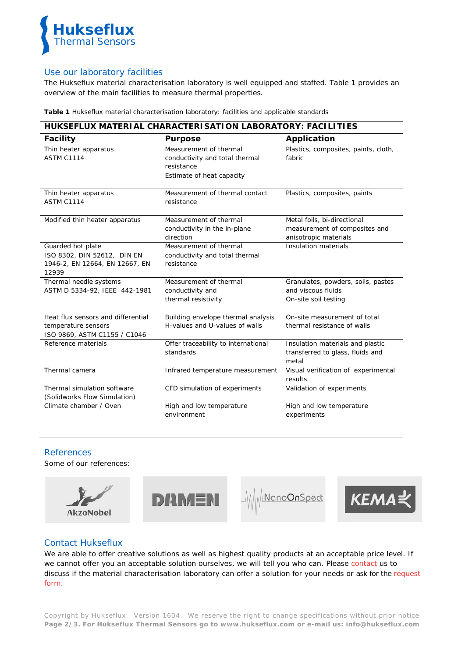

# Use our laboratory facilities

The Hukseflux material characterisation laboratory is well equipped and staffed. Table 1 provides an overview of the main facilities to measure thermal properties.

**Table 1** *Hukseflux material characterisation laboratory: facilities and applicable standards*

| HUKSEFLUX MATERIAL CHARACTERISATION LABORATORY: FACILITIES                                  |                                                                                                     |                                                                                       |  |  |  |
|---------------------------------------------------------------------------------------------|-----------------------------------------------------------------------------------------------------|---------------------------------------------------------------------------------------|--|--|--|
| <b>Facility</b>                                                                             | <b>Purpose</b>                                                                                      | <b>Application</b>                                                                    |  |  |  |
| Thin heater apparatus<br><b>ASTM C1114</b>                                                  | Measurement of thermal<br>conductivity and total thermal<br>resistance<br>Estimate of heat capacity | Plastics, composites, paints, cloth,<br>fabric                                        |  |  |  |
| Thin heater apparatus<br>ASTM C1114                                                         | Measurement of thermal contact<br>resistance                                                        | Plastics, composites, paints                                                          |  |  |  |
| Modified thin heater apparatus                                                              | Measurement of thermal<br>conductivity in the in-plane<br>direction                                 | Metal foils, bi-directional<br>measurement of composites and<br>anisotropic materials |  |  |  |
| Guarded hot plate<br>ISO 8302, DIN 52612, DIN EN<br>1946-2, EN 12664, EN 12667, EN<br>12939 | Measurement of thermal<br>conductivity and total thermal<br>resistance                              | Insulation materials                                                                  |  |  |  |
| Thermal needle systems<br>ASTM D 5334-92, IEEE 442-1981                                     | Measurement of thermal<br>conductivity and<br>thermal resistivity                                   | Granulates, powders, soils, pastes<br>and viscous fluids<br>On-site soil testing      |  |  |  |
| Heat flux sensors and differential<br>temperature sensors<br>ISO 9869, ASTM C1155 / C1046   | Building envelope thermal analysis<br>H-values and U-values of walls                                | On-site measurement of total<br>thermal resistance of walls                           |  |  |  |
| Reference materials                                                                         | Offer traceability to international<br>standards                                                    | Insulation materials and plastic<br>transferred to glass, fluids and<br>metal         |  |  |  |
| Thermal camera                                                                              | Infrared temperature measurement                                                                    | Visual verification of experimental<br>results                                        |  |  |  |
| Thermal simulation software<br>(Solidworks Flow Simulation)                                 | CFD simulation of experiments                                                                       | Validation of experiments                                                             |  |  |  |
| Climate chamber / Oven                                                                      | High and low temperature<br>environment                                                             | High and low temperature<br>experiments                                               |  |  |  |

# References

Some of our references:









# Contact Hukseflux

We are able to offer creative solutions as well as highest quality products at an acceptable price level. If we cannot offer you an acceptable solution ourselves, we will tell you who can. Please [contact](http://www.hukseflux.com/contact) us to discuss if the material characterisation laboratory can offer a solution for your needs or ask for the [request](mailto:info@hukseflux.com?subject=Please%20send%20me%20thermal%20properties%20laboratory%20request%20form)  [form.](mailto:info@hukseflux.com?subject=Please%20send%20me%20thermal%20properties%20laboratory%20request%20form)